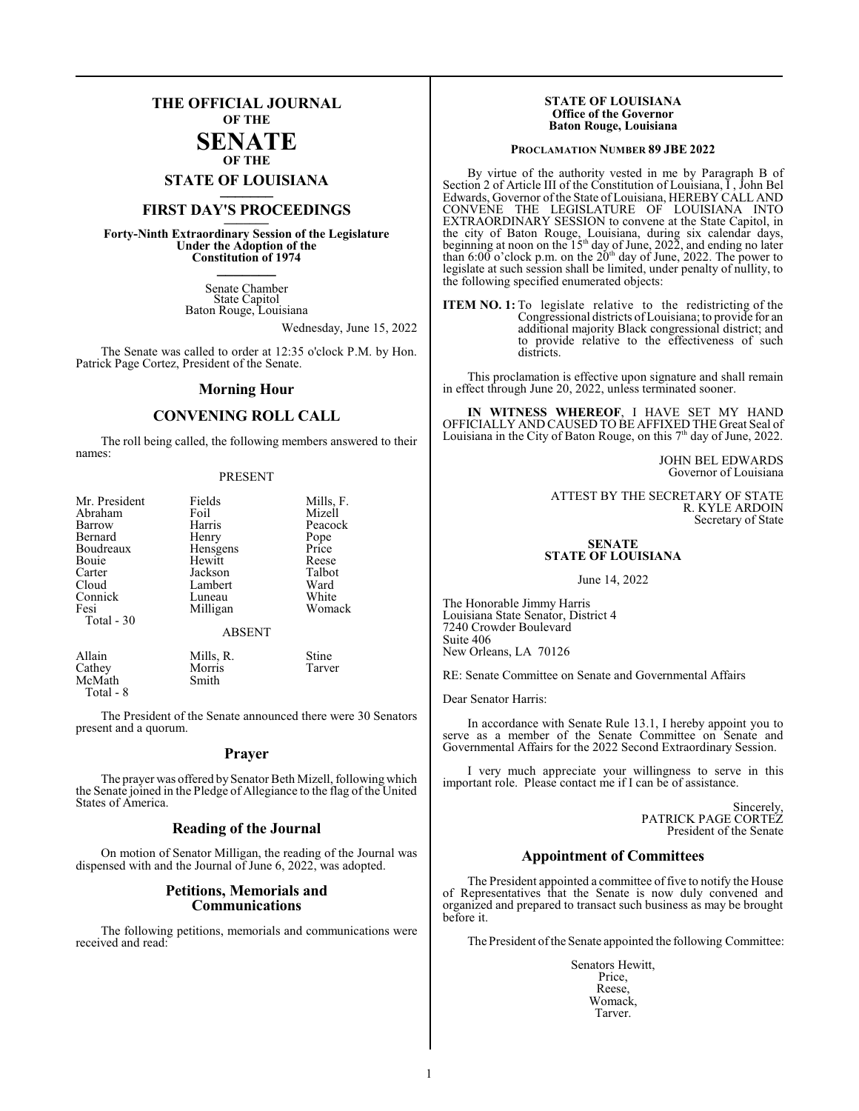# **THE OFFICIAL JOURNAL OF THE SENATE**

**OF THE**

**STATE OF LOUISIANA \_\_\_\_\_\_\_**

# **FIRST DAY'S PROCEEDINGS \_\_\_\_\_\_\_**

**Forty-Ninth Extraordinary Session of the Legislature Under the Adoption of the Constitution of 1974 \_\_\_\_\_\_\_**

> Senate Chamber State Capitol Baton Rouge, Louisiana

> > Wednesday, June 15, 2022

The Senate was called to order at 12:35 o'clock P.M. by Hon. Patrick Page Cortez, President of the Senate.

#### **Morning Hour**

# **CONVENING ROLL CALL**

The roll being called, the following members answered to their names:

#### PRESENT

| Mr. President | Fields        | Mills, F. |
|---------------|---------------|-----------|
| Abraham       | Foil          | Mizell    |
| Barrow        | Harris        | Peacock   |
| Bernard       | Henry         |           |
|               |               | Pope      |
| Boudreaux     | Hensgens      | Price     |
| Bouie         | Hewitt        | Reese     |
| Carter        | Jackson       | Talbot    |
| Cloud         | Lambert       | Ward      |
| Connick       | Luneau        | White     |
| Fesi          | Milligan      | Womack    |
| Total - 30    |               |           |
|               | <b>ABSENT</b> |           |
| Allain        | Mills, R.     | Stine     |
| Cathey        | Morris        | Tarver    |

McMath Smith Total - 8

The President of the Senate announced there were 30 Senators present and a quorum.

### **Prayer**

The prayer was offered by Senator Beth Mizell, following which the Senate joined in the Pledge of Allegiance to the flag of the United States of America.

#### **Reading of the Journal**

On motion of Senator Milligan, the reading of the Journal was dispensed with and the Journal of June 6, 2022, was adopted.

# **Petitions, Memorials and Communications**

The following petitions, memorials and communications were received and read:

#### **STATE OF LOUISIANA Office of the Governor Baton Rouge, Louisiana**

#### **PROCLAMATION NUMBER 89 JBE 2022**

By virtue of the authority vested in me by Paragraph B of Section 2 of Article III of the Constitution of Louisiana, I , John Bel Edwards, Governor of the State of Louisiana, HEREBY CALL AND CONVENE THE LEGISLATURE OF LOUISIANA INTO EXTRAORDINARY SESSION to convene at the State Capitol, in the city of Baton Rouge, Louisiana, during six calendar days, beginning at noon on the  $15<sup>th</sup>$  day of June, 2022, and ending no later than 6:00 o'clock p.m. on the  $20<sup>th</sup>$  day of June, 2022. The power to legislate at such session shall be limited, under penalty of nullity, to the following specified enumerated objects:

**ITEM NO. 1:** To legislate relative to the redistricting of the Congressional districts ofLouisiana; to provide for an additional majority Black congressional district; and to provide relative to the effectiveness of such districts.

This proclamation is effective upon signature and shall remain in effect through June 20, 2022, unless terminated sooner.

**IN WITNESS WHEREOF**, I HAVE SET MY HAND OFFICIALLY AND CAUSED TO BE AFFIXED THE Great Seal of Louisiana in the City of Baton Rouge, on this 7<sup>th</sup> day of June, 2022.

> JOHN BEL EDWARDS Governor of Louisiana

ATTEST BY THE SECRETARY OF STATE R. KYLE ARDOIN Secretary of State

## **SENATE STATE OF LOUISIANA**

June 14, 2022

The Honorable Jimmy Harris Louisiana State Senator, District 4 7240 Crowder Boulevard Suite 406 New Orleans, LA 70126

RE: Senate Committee on Senate and Governmental Affairs

Dear Senator Harris:

In accordance with Senate Rule 13.1, I hereby appoint you to serve as a member of the Senate Committee on Senate and Governmental Affairs for the 2022 Second Extraordinary Session.

I very much appreciate your willingness to serve in this important role. Please contact me if I can be of assistance.

> Sincerely, PATRICK PAGE CORTEZ President of the Senate

# **Appointment of Committees**

The President appointed a committee of five to notify the House of Representatives that the Senate is now duly convened and organized and prepared to transact such business as may be brought before it.

The President ofthe Senate appointed the following Committee:

Senators Hewitt, Price, Reese, Womack, Tarver.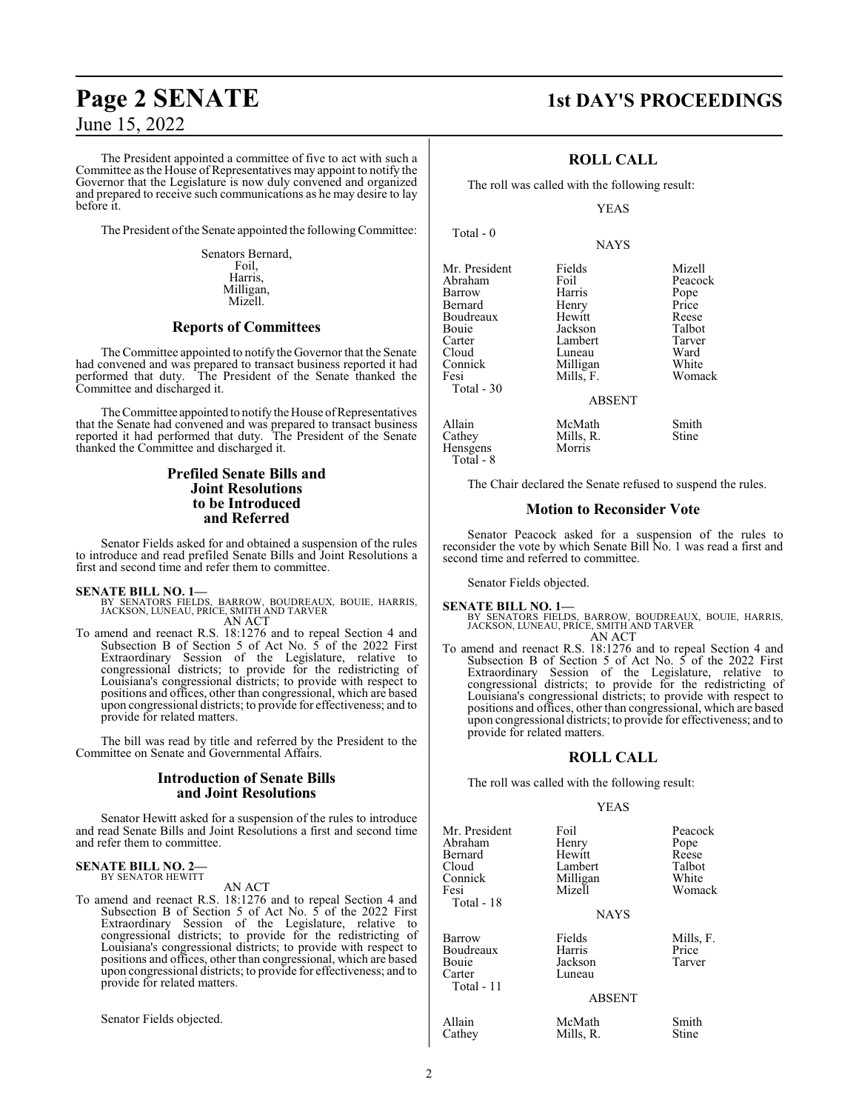June 15, 2022

The President appointed a committee of five to act with such a Committee as the House of Representatives may appoint to notify the Governor that the Legislature is now duly convened and organized and prepared to receive such communications as he may desire to lay before it.

The President of the Senate appointed the following Committee:

Senators Bernard, Foil, Harris, Milligan, Mizell.

# **Reports of Committees**

The Committee appointed to notify the Governor that the Senate had convened and was prepared to transact business reported it had performed that duty. The President of the Senate thanked the Committee and discharged it.

The Committee appointed to notify the House of Representatives that the Senate had convened and was prepared to transact business reported it had performed that duty. The President of the Senate thanked the Committee and discharged it.

# **Prefiled Senate Bills and Joint Resolutions to be Introduced and Referred**

Senator Fields asked for and obtained a suspension of the rules to introduce and read prefiled Senate Bills and Joint Resolutions a first and second time and refer them to committee.

#### **SENATE BILL NO. 1—**

BY SENATORS FIELDS, BARROW, BOUDREAUX, BOUIE, HARRIS, JACKSON, LUNEAU, PRICE, SMITH AND TARVER AN ACT

To amend and reenact R.S. 18:1276 and to repeal Section 4 and Subsection B of Section 5 of Act No. 5 of the 2022 First Extraordinary Session of the Legislature, relative to congressional districts; to provide for the redistricting of Louisiana's congressional districts; to provide with respect to positions and offices, other than congressional, which are based upon congressional districts; to provide for effectiveness; and to provide for related matters.

The bill was read by title and referred by the President to the Committee on Senate and Governmental Affairs.

# **Introduction of Senate Bills and Joint Resolutions**

Senator Hewitt asked for a suspension of the rules to introduce and read Senate Bills and Joint Resolutions a first and second time and refer them to committee.

#### **SENATE BILL NO. 2—** BY SENATOR HEWITT

AN ACT

To amend and reenact R.S. 18:1276 and to repeal Section 4 and Subsection B of Section 5 of Act No. 5 of the 2022 First Extraordinary Session of the Legislature, relative to congressional districts; to provide for the redistricting of Louisiana's congressional districts; to provide with respect to positions and offices, other than congressional, which are based upon congressional districts; to provide for effectiveness; and to provide for related matters.

Senator Fields objected.

# **Page 2 SENATE 1st DAY'S PROCEEDINGS**

# **ROLL CALL**

The roll was called with the following result:

YEAS

**NAYS** 

| Mr. President | Fields        | Mizell  |
|---------------|---------------|---------|
| Abraham       | Foil          | Peacock |
| Barrow        | Harris        | Pope    |
| Bernard       | Henry         | Price   |
| Boudreaux     | Hewitt        | Reese   |
| Bouie         | Jackson       | Talbot  |
| Carter        | Lambert       | Tarver  |
| Cloud         | Luneau        | Ward    |
| Connick       | Milligan      | White   |
| Fesi          | Mills, F.     | Womack  |
| Total - 30    |               |         |
|               | <b>ABSENT</b> |         |
| Allain        | McMath        | Smith   |
| Cathey        | Mills, R.     | Stine   |
| Hensgens      | Morris        |         |
| $Total - R$   |               |         |

The Chair declared the Senate refused to suspend the rules.

# **Motion to Reconsider Vote**

Senator Peacock asked for a suspension of the rules to reconsider the vote by which Senate Bill No. 1 was read a first and second time and referred to committee.

Senator Fields objected.

#### **SENATE BILL NO. 1—**

Total - 0

BY SENATORS FIELDS, BARROW, BOUDREAUX, BOUIE, HARRIS, JACKSON, LUNEAU, PRICE, SMITH AND TARVER AN ACT

To amend and reenact R.S. 18:1276 and to repeal Section 4 and Subsection B of Section 5 of Act No. 5 of the 2022 First Extraordinary Session of the Legislature, relative to congressional districts; to provide for the redistricting of Louisiana's congressional districts; to provide with respect to positions and offices, other than congressional, which are based upon congressional districts; to provide for effectiveness; and to provide for related matters.

#### **ROLL CALL**

The roll was called with the following result:

#### YEAS

| Mr. President<br>Abraham<br>Bernard<br>Cloud<br>Connick<br>Fesi<br>Total - 18 | Foil<br>Henry<br>Hewitt<br>Lambert<br>Milligan<br>Mizell<br><b>NAYS</b> | Peacock<br>Pope<br>Reese<br>Talbot<br>White<br>Womack |
|-------------------------------------------------------------------------------|-------------------------------------------------------------------------|-------------------------------------------------------|
| Barrow<br>Boudreaux<br>Bouie<br>Carter<br>Total - 11                          | Fields<br>Harris<br>Jackson<br>Luneau<br><b>ABSENT</b>                  | Mills, F.<br>Price<br>Tarver                          |
| Allain<br>Cathey                                                              | McMath<br>Mills, R.                                                     | Smith<br>Stine                                        |